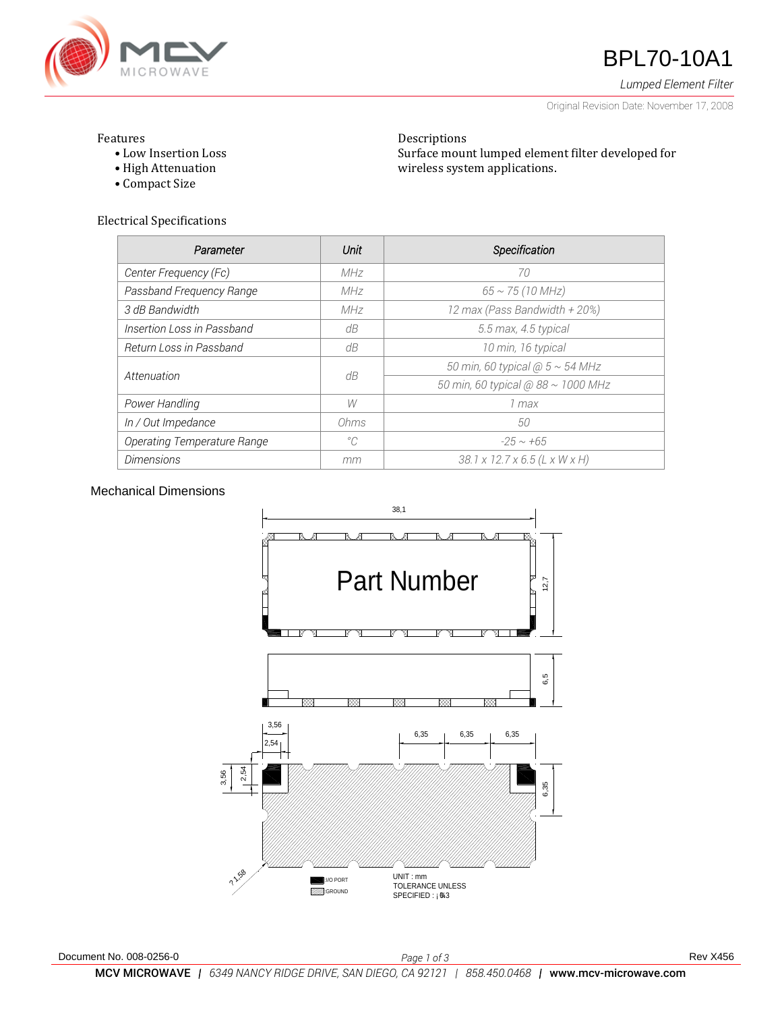

# **47** BPL70-10A1

*Lumped Element Filter*

Original Revision Date: November 17, 2008

### Features

- Low Insertion Loss
- High Attenuation
- Compact Size

Electrical Specifications

| Parameter                          | Unit        | Specification                       |
|------------------------------------|-------------|-------------------------------------|
| Center Frequency (Fc)              | MHz         | 70                                  |
| Passband Frequency Range           | MHz         | $65 \sim 75 (10 MHz)$               |
| 3 dB Bandwidth                     | MHz         | 12 max (Pass Bandwidth + 20%)       |
| Insertion Loss in Passband         | dB          | 5.5 max, 4.5 typical                |
| Return Loss in Passband            | dB          | 10 min, 16 typical                  |
| Attenuation                        | dB          | 50 min, 60 typical $@5 \sim 54$ MHz |
|                                    |             | 50 min, 60 typical @ 88 ~ 1000 MHz  |
| Power Handling                     | W           | 1 max                               |
| In / Out Impedance                 | Ohms        | 50                                  |
| <b>Operating Temperature Range</b> | $^{\circ}C$ | $-25 \sim +65$                      |
| <b>Dimensions</b>                  | mm          | 38.1 x 12.7 x 6.5 (L x W x H)       |

Descriptions

wireless system applications.

Surface mount lumped element filter developed for

## Mechanical Dimensions

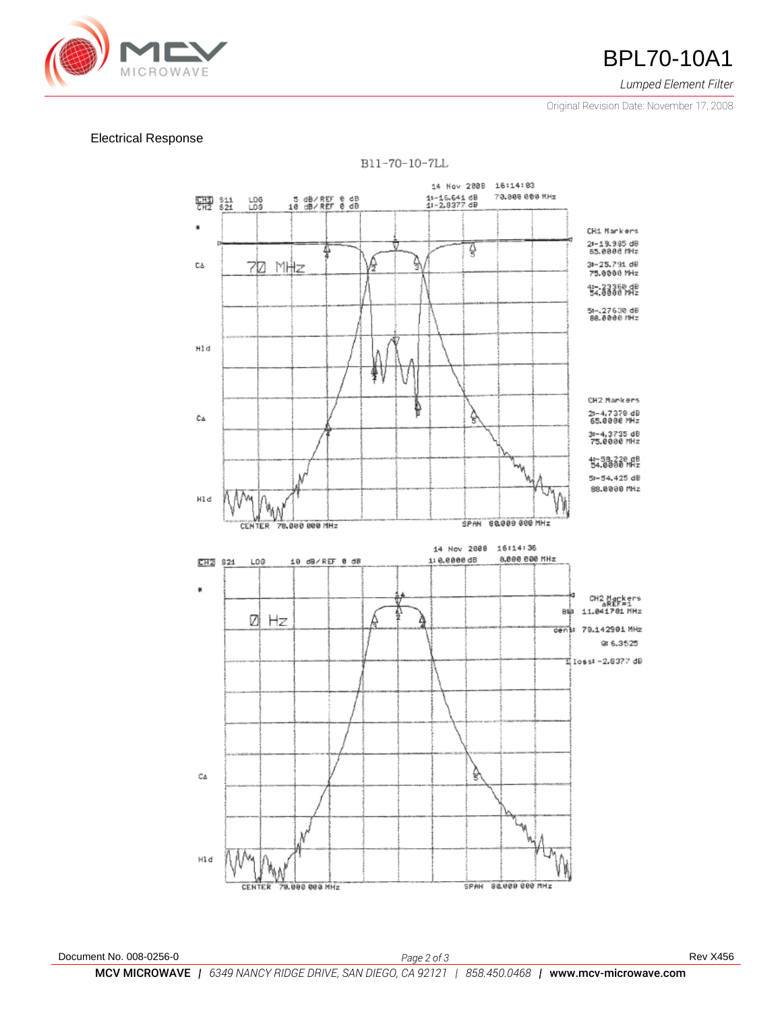

*Lumped Element Filter*

Original Revision Date: November 17, 2008

### Electrical Response



Document No. 008-0256-0 *Page 2 of 3* Rev X456 MCV MICROWAVE *| 6349 NANCY RIDGE DRIVE, SAN DIEGO, CA 92121 | 858.450.0468 |* www.mcv-microwave.com